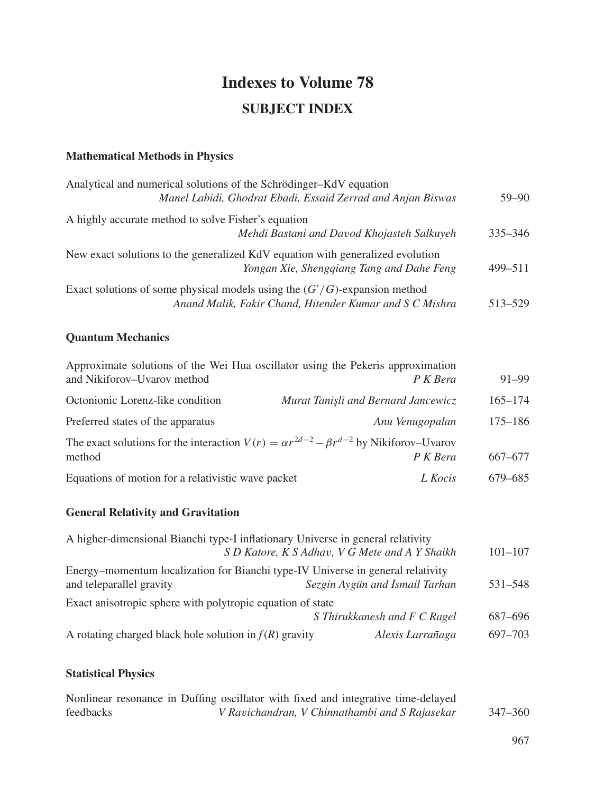# **Indexes to Volume 78 SUBJECT INDEX**

#### **Mathematical Methods in Physics**

| Analytical and numerical solutions of the Schrödinger-KdV equation<br>Manel Labidi, Ghodrat Ebadi, Essaid Zerrad and Anjan Biswas       | $59 - 90$   |
|-----------------------------------------------------------------------------------------------------------------------------------------|-------------|
| A highly accurate method to solve Fisher's equation                                                                                     |             |
| Mehdi Bastani and Davod Khojasteh Salkuyeh                                                                                              | $335 - 346$ |
| New exact solutions to the generalized KdV equation with generalized evolution<br>Yongan Xie, Shengqiang Tang and Dahe Feng             | 499–511     |
| Exact solutions of some physical models using the $(G'/G)$ -expansion method<br>Anand Malik, Fakir Chand, Hitender Kumar and S C Mishra | 513-529     |

#### **Quantum Mechanics**

| Approximate solutions of the Wei Hua oscillator using the Pekeris approximation<br>and Nikiforov–Uvarov method | P K Bera                            | $91 - 99$   |
|----------------------------------------------------------------------------------------------------------------|-------------------------------------|-------------|
| Octonionic Lorenz-like condition                                                                               | Murat Tanişli and Bernard Jancewicz | $165 - 174$ |
| Preferred states of the apparatus                                                                              | Anu Venugopalan                     | $175 - 186$ |
| The exact solutions for the interaction $V(r) = \alpha r^{2d-2} - \beta r^{d-2}$ by Nikiforov–Uvarov<br>method | P K Bera                            | 667–677     |
| Equations of motion for a relativistic wave packet                                                             | L Kocis                             | 679–685     |

#### **General Relativity and Gravitation**

| A higher-dimensional Bianchi type-I inflationary Universe in general relativity                             | S D Katore, K S Adhav, V G Mete and A Y Shaikh<br>$101 - 107$ |
|-------------------------------------------------------------------------------------------------------------|---------------------------------------------------------------|
| Energy–momentum localization for Bianchi type-IV Universe in general relativity<br>and teleparallel gravity | Sezgin Aygün and İsmail Tarhan<br>531-548                     |
| Exact anisotropic sphere with polytropic equation of state                                                  |                                                               |
|                                                                                                             | S Thirukkanesh and F C Ragel<br>687–696                       |
| A rotating charged black hole solution in $f(R)$ gravity                                                    | 697–703<br>Alexis Larrañaga                                   |

### **Statistical Physics**

|           | Nonlinear resonance in Duffing oscillator with fixed and integrative time-delayed |         |
|-----------|-----------------------------------------------------------------------------------|---------|
| feedbacks | V Ravichandran, V Chinnathambi and S Rajasekar                                    | 347–360 |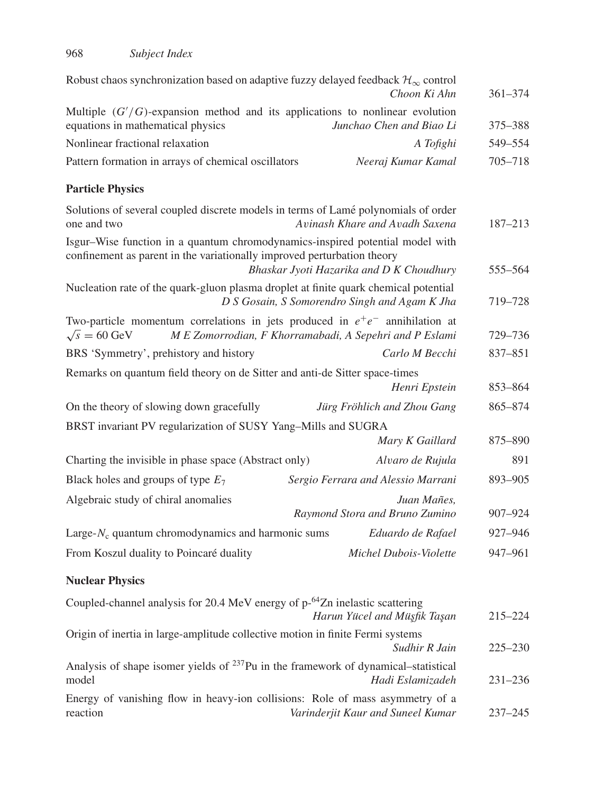| Robust chaos synchronization based on adaptive fuzzy delayed feedback $\mathcal{H}_{\infty}$ control                                                                                                 | Choon Ki Ahn                                  | $361 - 374$ |
|------------------------------------------------------------------------------------------------------------------------------------------------------------------------------------------------------|-----------------------------------------------|-------------|
| Multiple $(G'/G)$ -expansion method and its applications to nonlinear evolution<br>equations in mathematical physics                                                                                 | Junchao Chen and Biao Li                      | 375–388     |
| Nonlinear fractional relaxation                                                                                                                                                                      | A Tofighi                                     | 549-554     |
| Pattern formation in arrays of chemical oscillators                                                                                                                                                  | Neeraj Kumar Kamal                            | 705-718     |
| <b>Particle Physics</b>                                                                                                                                                                              |                                               |             |
| Solutions of several coupled discrete models in terms of Lamé polynomials of order<br>one and two                                                                                                    | Avinash Khare and Avadh Saxena                | 187-213     |
| Isgur–Wise function in a quantum chromodynamics-inspired potential model with<br>confinement as parent in the variationally improved perturbation theory<br>Bhaskar Jyoti Hazarika and D K Choudhury |                                               | 555-564     |
| Nucleation rate of the quark-gluon plasma droplet at finite quark chemical potential<br>D S Gosain, S Somorendro Singh and Agam K Jha                                                                |                                               | 719-728     |
| Two-particle momentum correlations in jets produced in $e^+e^-$ annihilation at<br>$\sqrt{s}$ = 60 GeV<br>M E Zomorrodian, F Khorramabadi, A Sepehri and P Eslami                                    |                                               | 729–736     |
| BRS 'Symmetry', prehistory and history                                                                                                                                                               | Carlo M Becchi                                | 837-851     |
| Remarks on quantum field theory on de Sitter and anti-de Sitter space-times                                                                                                                          | Henri Epstein                                 | 853-864     |
| On the theory of slowing down gracefully                                                                                                                                                             | Jürg Fröhlich and Zhou Gang                   | 865-874     |
| BRST invariant PV regularization of SUSY Yang-Mills and SUGRA                                                                                                                                        |                                               |             |
|                                                                                                                                                                                                      | Mary K Gaillard                               | 875-890     |
| Charting the invisible in phase space (Abstract only)                                                                                                                                                | Alvaro de Rujula                              | 891         |
| Black holes and groups of type $E_7$                                                                                                                                                                 | Sergio Ferrara and Alessio Marrani            | 893-905     |
| Algebraic study of chiral anomalies                                                                                                                                                                  | Juan Mañes,<br>Raymond Stora and Bruno Zumino | 907-924     |
| Large- $N_c$ quantum chromodynamics and harmonic sums                                                                                                                                                | Eduardo de Rafael                             | 927-946     |
| From Koszul duality to Poincaré duality                                                                                                                                                              | Michel Dubois-Violette                        | 947-961     |
| <b>Nuclear Physics</b>                                                                                                                                                                               |                                               |             |
| Coupled-channel analysis for 20.4 MeV energy of p- <sup>64</sup> Zn inelastic scattering                                                                                                             | Harun Yücel and Müşfik Taşan                  | 215-224     |
| Origin of inertia in large-amplitude collective motion in finite Fermi systems                                                                                                                       | Sudhir R Jain                                 | $225 - 230$ |
| Analysis of shape isomer yields of <sup>237</sup> Pu in the framework of dynamical-statistical<br>model                                                                                              | Hadi Eslamizadeh                              | 231-236     |
| Energy of vanishing flow in heavy-ion collisions: Role of mass asymmetry of a<br>reaction                                                                                                            | Varinderjit Kaur and Suneel Kumar             | $237 - 245$ |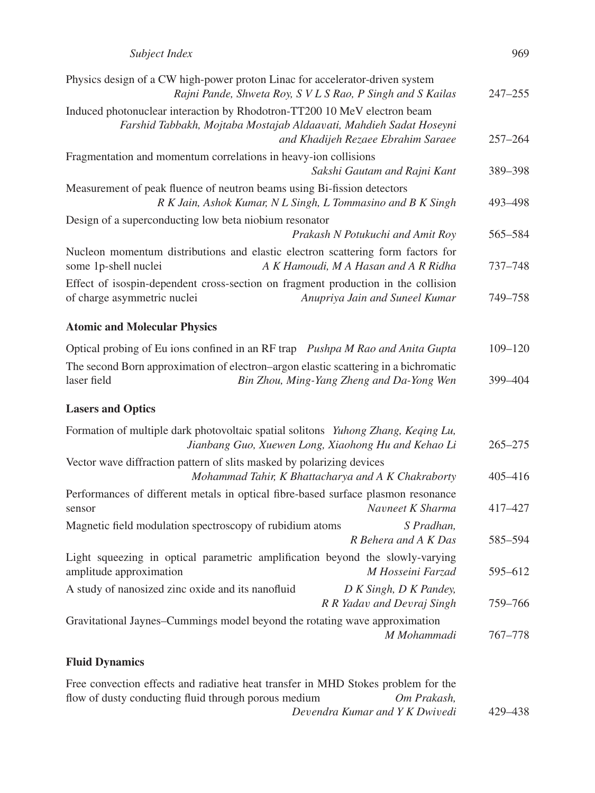| Subject Index | 969 |
|---------------|-----|
|---------------|-----|

| Physics design of a CW high-power proton Linac for accelerator-driven system<br>Rajni Pande, Shweta Roy, S V L S Rao, P Singh and S Kailas                                           | $247 - 255$ |
|--------------------------------------------------------------------------------------------------------------------------------------------------------------------------------------|-------------|
| Induced photonuclear interaction by Rhodotron-TT200 10 MeV electron beam<br>Farshid Tabbakh, Mojtaba Mostajab Aldaavati, Mahdieh Sadat Hoseyni<br>and Khadijeh Rezaee Ebrahim Saraee | $257 - 264$ |
| Fragmentation and momentum correlations in heavy-ion collisions                                                                                                                      |             |
| Sakshi Gautam and Rajni Kant                                                                                                                                                         | 389-398     |
| Measurement of peak fluence of neutron beams using Bi-fission detectors<br>R K Jain, Ashok Kumar, N L Singh, L Tommasino and B K Singh                                               | 493-498     |
| Design of a superconducting low beta niobium resonator<br>Prakash N Potukuchi and Amit Roy                                                                                           | 565–584     |
| Nucleon momentum distributions and elastic electron scattering form factors for<br>some 1p-shell nuclei<br>A K Hamoudi, M A Hasan and A R Ridha                                      | 737-748     |
| Effect of isospin-dependent cross-section on fragment production in the collision<br>of charge asymmetric nuclei<br>Anupriya Jain and Suneel Kumar                                   | 749-758     |
| <b>Atomic and Molecular Physics</b>                                                                                                                                                  |             |
| Optical probing of Eu ions confined in an RF trap Pushpa M Rao and Anita Gupta                                                                                                       | $109 - 120$ |
| The second Born approximation of electron-argon elastic scattering in a bichromatic<br>laser field<br>Bin Zhou, Ming-Yang Zheng and Da-Yong Wen                                      | 399-404     |
| <b>Lasers and Optics</b>                                                                                                                                                             |             |
| Formation of multiple dark photovoltaic spatial solitons Yuhong Zhang, Keqing Lu,<br>Jianbang Guo, Xuewen Long, Xiaohong Hu and Kehao Li                                             | $265 - 275$ |
| Vector wave diffraction pattern of slits masked by polarizing devices<br>Mohammad Tahir, K Bhattacharya and A K Chakraborty                                                          | $405 - 416$ |
| Performances of different metals in optical fibre-based surface plasmon resonance<br>Navneet K Sharma<br>sensor                                                                      | 417-427     |
| Magnetic field modulation spectroscopy of rubidium atoms<br>S Pradhan,<br>R Behera and A K Das                                                                                       | 585-594     |
| Light squeezing in optical parametric amplification beyond the slowly-varying<br>amplitude approximation<br>M Hosseini Farzad                                                        | 595-612     |
| A study of nanosized zinc oxide and its nanofluid<br>D K Singh, D K Pandey,<br>R R Yadav and Devraj Singh                                                                            | 759-766     |
| Gravitational Jaynes-Cummings model beyond the rotating wave approximation<br>M Mohammadi                                                                                            | 767-778     |
| <b>Fluid Dynamics</b>                                                                                                                                                                |             |

| Free convection effects and radiative heat transfer in MHD Stokes problem for the |             |         |
|-----------------------------------------------------------------------------------|-------------|---------|
| flow of dusty conducting fluid through porous medium                              | Om Prakash. |         |
| Devendra Kumar and Y K Dwivedi                                                    |             | 429–438 |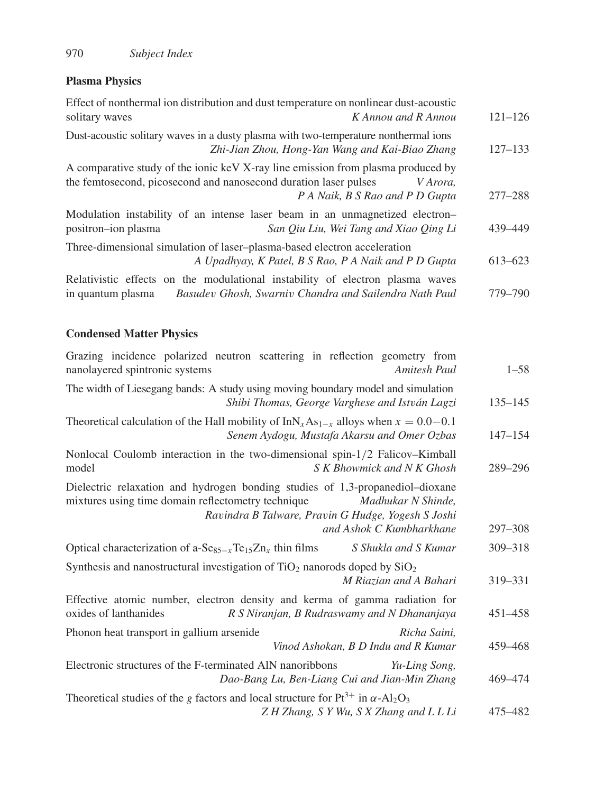## **Plasma Physics**

| Effect of nonthermal ion distribution and dust temperature on nonlinear dust-acoustic<br>solitary waves                                              | K Annou and R Annou                                    | $121 - 126$ |
|------------------------------------------------------------------------------------------------------------------------------------------------------|--------------------------------------------------------|-------------|
| Dust-acoustic solitary waves in a dusty plasma with two-temperature nonthermal ions                                                                  | Zhi-Jian Zhou, Hong-Yan Wang and Kai-Biao Zhang        | $127 - 133$ |
| A comparative study of the ionic keV X-ray line emission from plasma produced by<br>the femtosecond, picosecond and nanosecond duration laser pulses | V Arora,<br>P A Naik, B S Rao and P D Gupta            | $277 - 288$ |
| Modulation instability of an intense laser beam in an unmagnetized electron-<br>positron-ion plasma                                                  | San Oiu Liu, Wei Tang and Xiao Oing Li                 | 439–449     |
| Three-dimensional simulation of laser-plasma-based electron acceleration                                                                             | A Upadhyay, K Patel, B S Rao, P A Naik and P D Gupta   | $613 - 623$ |
| Relativistic effects on the modulational instability of electron plasma waves<br>in quantum plasma                                                   | Basudev Ghosh, Swarniv Chandra and Sailendra Nath Paul | 779–790     |

# **Condensed Matter Physics**

| Grazing incidence polarized neutron scattering in reflection geometry from<br>nanolayered spintronic systems<br>Amitesh Paul                                                                                                                | $1 - 58$    |
|---------------------------------------------------------------------------------------------------------------------------------------------------------------------------------------------------------------------------------------------|-------------|
| The width of Liesegang bands: A study using moving boundary model and simulation<br>Shibi Thomas, George Varghese and István Lagzi                                                                                                          | $135 - 145$ |
| Theoretical calculation of the Hall mobility of $InNx As1-x$ alloys when $x = 0.0-0.1$<br>Senem Aydogu, Mustafa Akarsu and Omer Ozbas                                                                                                       | $147 - 154$ |
| Nonlocal Coulomb interaction in the two-dimensional spin-1/2 Falicov-Kimball<br>S K Bhowmick and N K Ghosh<br>model                                                                                                                         | 289-296     |
| Dielectric relaxation and hydrogen bonding studies of 1,3-propanediol-dioxane<br>mixtures using time domain reflectometry technique<br>Madhukar N Shinde,<br>Ravindra B Talware, Pravin G Hudge, Yogesh S Joshi<br>and Ashok C Kumbharkhane | $297 - 308$ |
| Optical characterization of a-Se <sub>85-x</sub> Te <sub>15</sub> Zn <sub>x</sub> thin films<br>S Shukla and S Kumar                                                                                                                        | 309-318     |
| Synthesis and nanostructural investigation of $TiO2$ nanorods doped by $SiO2$<br>M Riazian and A Bahari                                                                                                                                     | 319-331     |
| Effective atomic number, electron density and kerma of gamma radiation for<br>oxides of lanthanides<br>R S Niranjan, B Rudraswamy and N Dhananjaya                                                                                          | 451-458     |
| Phonon heat transport in gallium arsenide<br>Richa Saini,<br>Vinod Ashokan, B D Indu and R Kumar                                                                                                                                            | 459–468     |
| Electronic structures of the F-terminated AlN nanoribbons<br>Yu-Ling Song,<br>Dao-Bang Lu, Ben-Liang Cui and Jian-Min Zhang                                                                                                                 | 469-474     |
| Theoretical studies of the g factors and local structure for $Pt^{3+}$ in $\alpha$ -Al <sub>2</sub> O <sub>3</sub><br>Z H Zhang, S Y Wu, S X Zhang and L L Li                                                                               | 475 - 482   |